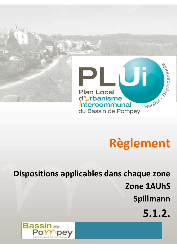

# **Règlement**

**Dispositions applicables dans chaque zone Zone 1AUhS Spillmann**

**5.1.2.**

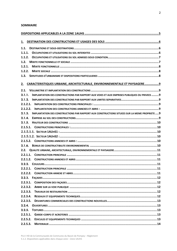#### **SOMMAIRE**

| 1.1.     |                                                                                               |  |  |  |
|----------|-----------------------------------------------------------------------------------------------|--|--|--|
| 1.1.1.   |                                                                                               |  |  |  |
| 1.1.2.   |                                                                                               |  |  |  |
| 1.2.     |                                                                                               |  |  |  |
| 1.2.1.   |                                                                                               |  |  |  |
| 1.2.2.   |                                                                                               |  |  |  |
| 1.3.     |                                                                                               |  |  |  |
| 2.       | CARACTERISTIQUES URBAINE, ARCHITECTURALE, ENVIRONNEMENTALE ET PAYSAGERE 9                     |  |  |  |
| 2.1.     |                                                                                               |  |  |  |
| 2.1.1.   | IMPLANTATION DES CONSTRUCTIONS PAR RAPPORT AUX VOIES ET AUX EMPRISES PUBLIQUES OU PRIVEES  9  |  |  |  |
| 2.1.2.   |                                                                                               |  |  |  |
| 2.1.2.1. |                                                                                               |  |  |  |
| 2.1.2.2. |                                                                                               |  |  |  |
| 2.1.3.   | IMPLANTATION DES CONSTRUCTIONS PAR RAPPORT AUX CONSTRUCTIONS SITUEES SUR LA MEME PROPRIETE  9 |  |  |  |
| 2.1.4.   |                                                                                               |  |  |  |
| 2.1.5.   |                                                                                               |  |  |  |
|          |                                                                                               |  |  |  |
|          |                                                                                               |  |  |  |
|          |                                                                                               |  |  |  |
|          |                                                                                               |  |  |  |
| 2.1.6.   |                                                                                               |  |  |  |
|          |                                                                                               |  |  |  |
| 2.2.1.1. |                                                                                               |  |  |  |
| 2.2.1.2. |                                                                                               |  |  |  |
|          |                                                                                               |  |  |  |
| 2.2.2.1. |                                                                                               |  |  |  |
| 2.2.2.2. |                                                                                               |  |  |  |
| 2.2.3.   |                                                                                               |  |  |  |
| 2.2.3.1. |                                                                                               |  |  |  |
| 2.2.3.2. |                                                                                               |  |  |  |
| 2.2.3.3. |                                                                                               |  |  |  |
| 2.2.3.4. |                                                                                               |  |  |  |
| 2.2.3.5. |                                                                                               |  |  |  |
| 2.2.4.   |                                                                                               |  |  |  |
| 2.2.5.   |                                                                                               |  |  |  |
| 2.2.5.1. |                                                                                               |  |  |  |
| 2.2.5.2. |                                                                                               |  |  |  |
| 2.2.5.3. |                                                                                               |  |  |  |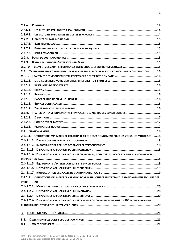| 2.2.6.                                                                                                          |  |
|-----------------------------------------------------------------------------------------------------------------|--|
| 2.2.6.1.                                                                                                        |  |
| 2.2.6.2.                                                                                                        |  |
|                                                                                                                 |  |
| 2.2.7.1.                                                                                                        |  |
| 2.2.7.2.                                                                                                        |  |
| 2.2.7.3.                                                                                                        |  |
| 2.2.8.                                                                                                          |  |
| 2.2.9.                                                                                                          |  |
| ELEMENTS LIES AUX PERFORMANCES ENERGETIQUES ET ENVIRONNEMENTALES  15<br>2.2.10.                                 |  |
| 2.3.<br>TRAITEMENT ENVIRONNEMENTAL ET PAYSAGER DES ESPACES NON BATIS ET ABORDS DES CONSTRUCTIONS 16             |  |
| 2.3.1.                                                                                                          |  |
| 2.3.1.1.                                                                                                        |  |
| 2.3.1.2.                                                                                                        |  |
| 2.3.1.3.                                                                                                        |  |
| 2.3.1.4.                                                                                                        |  |
| 2.3.1.5.                                                                                                        |  |
| 2.3.1.6.                                                                                                        |  |
| 2.3.1.7.                                                                                                        |  |
| 2.3.2. TRAITEMENT ENVIRONNEMENTAL ET PAYSAGER DES ABORDS DES CONSTRUCTIONS17                                    |  |
| 2.3.2.1.                                                                                                        |  |
| 2.3.2.2.                                                                                                        |  |
| 2.3.2.3.                                                                                                        |  |
|                                                                                                                 |  |
| 2.4.1.1. OBLIGATIONS MINIMALES DE CREATION D'AIRES DE STATIONNEMENT POUR LES VEHICULES MOTORISES  18            |  |
|                                                                                                                 |  |
|                                                                                                                 |  |
|                                                                                                                 |  |
| 2.4.1.1.4. DISPOSITIONS APPLICABLES POUR LES COMMERCES, ACTIVITES DE SERVICE ET CENTRE DE CONGRES OU            |  |
|                                                                                                                 |  |
|                                                                                                                 |  |
|                                                                                                                 |  |
|                                                                                                                 |  |
| 2.4.1.2. OBLIGATIONS MINIMALES DE CREATION D'INFRASTRUCTURES PERMETTANT LE STATIONNEMENT SECURISE DES           |  |
| 20<br><b>VELOS</b>                                                                                              |  |
|                                                                                                                 |  |
|                                                                                                                 |  |
|                                                                                                                 |  |
| 2.4.1.2.4. DISPOSITIONS APPLICABLES POUR LES ACTIVITES OU COMMERCES DE PLUS DE 500 M <sup>2</sup> DE SURFACE DE |  |
|                                                                                                                 |  |
|                                                                                                                 |  |
|                                                                                                                 |  |
| 3.1.                                                                                                            |  |
|                                                                                                                 |  |
|                                                                                                                 |  |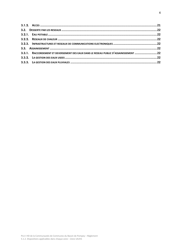| 3.3.1. RACCORDEMENT ET DEVERSEMENT DES EAUX DANS LE RESEAU PUBLIC D'ASSAINISSEMENT 22 |  |
|---------------------------------------------------------------------------------------|--|
|                                                                                       |  |
|                                                                                       |  |
|                                                                                       |  |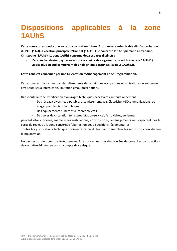# <span id="page-4-0"></span>**Dispositions applicables à la zone 1AUhS**

**Cette zone correspond à une zone d'urbanisation future (A Urbaniser), urbanisable dès l'approbation du PLUi (1AU), à vocation principale d'Habitat (1AUh). Elle concerne le site Spillmann à Lay-Saint-Christophe (1AUhS). La zone 1AUhS concerne deux espaces distincts :**

- L'ancien Sanatorium, qui a vocation à accueillir des logements collectifs (secteur 1AUhS1),
- **Le site plus au Sud comportant des habitations existantes (secteur 1AUhS2).**

#### **Cette zone est concernée par une Orientation d'Aménagement et de Programmation.**

Cette zone est concernée par des glissements de terrain, les occupations et utilisations du sol peuvent être soumises à interdiction, limitation et/ou prescriptions.

Dans toute la zone, l'édification d'ouvrages techniques nécessaires au fonctionnement :

- Des réseaux divers (eau potable, assainissement, gaz, électricité, télécommunications, ouvrages pour la sécurité publique,…)
- Des équipements publics et d'intérêt collectif
- Des voies de circulation terrestres (station-service), ferroviaires, aériennes

peuvent être autorisés, même si les installations, constructions, aménagements ne respectent pas le corps de règles de la zone concernée (abstraction des dispositions réglementaires).

Toutes les justifications techniques doivent être produites pour démontrer les motifs du choix du lieu d'implantation.

<span id="page-4-1"></span>Les pentes surplombées de forêt peuvent être concernées par des coulées de boue. Les constructions devront être édifiées en tenant compte de ce risque.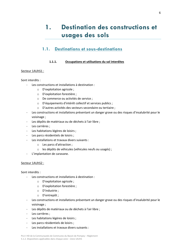# **1. Destination des constructions et usages des sols**

### <span id="page-5-0"></span>**1.1. Destinations et sous-destinations**

#### **1.1.1. Occupations et utilisations du sol interdites**

#### <span id="page-5-1"></span>Secteur 1AUhS1 :

#### Sont interdits :

- Les constructions et installations à destination :
	- o D'exploitation agricole ;
	- o D'exploitation forestière ;
	- o De commerce ou activités de service ;
	- o D'équipements d'intérêt collectif et services publics ;
	- o D'autres activités des secteurs secondaire ou tertiaire ;
- Les constructions et installations présentant un danger grave ou des risques d'insalubrité pour le voisinage ;
- Les dépôts de matériaux ou de déchets à l'air libre ;
- Les carrières ;
- Les habitations légères de loisirs ;
- Les parcs résidentiels de loisirs :
- Les installations et travaux divers suivants :
	- o Les parcs d'attraction ;
	- o les dépôts de véhicules (véhicules neufs ou usagés) ;
- L'implantation de caravane.

#### Secteur 1AUhS2 :

Sont interdits :

- Les constructions et installations à destination :
	- o D'exploitation agricole ;
	- o D'exploitation forestière ;
	- o D'industrie ;
	- o D'entrepôt ;
- Les constructions et installations présentant un danger grave ou des risques d'insalubrité pour le voisinage ;
- Les dépôts de matériaux ou de déchets à l'air libre ;
- Les carrières :
- Les habitations légères de loisirs ;
- Les parcs résidentiels de loisirs ;
- Les installations et travaux divers suivants :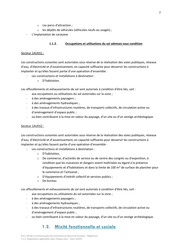- o Les parcs d'attraction ;
- o les dépôts de véhicules (véhicules neufs ou usagés) ;
- L'implantation de caravane.

#### **1.1.2. Occupations et utilisations du sol admises sous condition**

#### <span id="page-6-0"></span>Secteur 1AUhS1 :

Les constructions suivantes sont autorisées sous réserve de la réalisation des voies publiques, réseaux d'eau, d'électricité et d'assainissement, en capacité suffisante pour desservir les constructions à implanter et qu'elles fassent partie d'une opération d'ensemble :

- Les constructions et installations à destination :
	- o D'habitation.

Les affouillements et exhaussements de sol sont autorisés à condition d'être liés, soit :

- aux occupations ou utilisations du sol autorisées sur la zone ;
- à des aménagements paysagers ;
- à des aménagements hydrauliques ;
- à des travaux d'infrastructures routières, de transports collectifs, de circulation active ou d'aménagement d'espace public ;
- ou bien contribuent à la mise en valeur du paysage, d'un site ou d'un vestige archéologique.

#### Secteur 1AUhS2 :

Les constructions suivantes sont autorisées sous réserve de la réalisation des voies publiques, réseaux d'eau, d'électricité et d'assainissement, en capacité suffisante pour desservir les constructions à implanter et qu'elles fassent partie d'une opération d'ensemble :

- Les constructions et installations à destination :
	- o D'habitation,
	- o De commerce, d'activités de service ou de centre des congrès ou d'exposition, à condition que les nuisances et dangers soient maîtrisées eu égard à la présence d'équipements et d'habitations et dans la limite de 100 m² de surface de plancher pour le commerce et l'artisanat ;
	- o D'équipements d'intérêt collectif et services publics ;
	- o De bureau.

Les affouillements et exhaussements de sol sont autorisés à condition d'être liés, soit :

- aux occupations ou utilisations du sol autorisées sur la zone ;
- à des aménagements paysagers ;
- à des aménagements hydrauliques ;
- à des travaux d'infrastructures routières, de transports collectifs, de circulation active ou d'aménagement d'espace public ;
- <span id="page-6-1"></span>ou bien contribuent à la mise en valeur du paysage, d'un site ou d'un vestige archéologique.

# **1.2. Mixité fonctionnelle et sociale**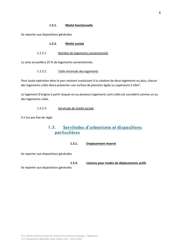<span id="page-7-1"></span><span id="page-7-0"></span>Se reporter aux dispositions générales.

#### **1.2.2. Mixité sociale**

#### 1.2.2.1. Nombre de logements conventionnés

La zone accueillera 25 % de logements conventionnés.

#### 1.2.2.2. Taille minimale des logements

Pour toute opération dans le parc existant conduisant à la création de deux logements ou plus, chacun des logements créés devra présenter une surface de plancher égale ou supérieure à 20m².

Le logement d'origine à partir duquel un ou plusieurs logements sont créés est considéré comme un ou des logements créés.

#### 1.2.2.3. Servitude de mixité sociale

<span id="page-7-2"></span>Il n'est pas fixé de règle.

# **1.3. Servitudes d'urbanisme et dispositions particulières**

#### **1.3.1. Emplacement réservé**

Se reporter aux dispositions générales.

**1.3.2. Liaisons pour modes de déplacements actifs** Se reporter aux dispositions générales.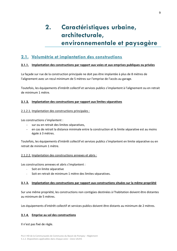# <span id="page-8-0"></span>**2. Caractéristiques urbaine, architecturale, environnementale et paysagère**

# <span id="page-8-1"></span>**2.1. Volumétrie et implantation des constructions**

#### <span id="page-8-2"></span>**2.1.1. Implantation des constructions par rapport aux voies et aux emprises publiques ou privées**

La façade sur rue de la construction principale ne doit pas être implantée à plus de 8 mètres de l'alignement avec un recul minimum de 5 mètres sur l'emprise de l'accès au garage.

Toutefois, les équipements d'intérêt collectif et services publics s'implantent à l'alignement ou en retrait de minimum 1 mètre.

#### <span id="page-8-3"></span>**2.1.2. Implantation des constructions par rapport aux limites séparatives**

#### <span id="page-8-4"></span>2.1.2.1. Implantation des constructions principales :

Les constructions s'implantent :

- sur ou en retrait des limites séparatives,
- en cas de retrait la distance minimale entre la construction et la limite séparative est au moins égale à 3 mètres.

Toutefois, les équipements d'intérêt collectif et services publics s'implantent en limite séparative ou en retrait de minimum 1 mètre.

#### <span id="page-8-5"></span>2.1.2.2. Implantation des constructions annexes et abris :

Les constructions annexes et abris s'implantent :

- Soit en limite séparative
- Soit en retrait de minimum 1 mètre des limites séparatives.

#### <span id="page-8-6"></span>**2.1.3. Implantation des constructions par rapport aux constructions situées sur la même propriété**

Sur une même propriété, les constructions non contigües destinées à l'habitation doivent être distantes au minimum de 5 mètres.

Les équipements d'intérêt collectif et services publics doivent être distants au minimum de 2 mètres.

#### <span id="page-8-7"></span>**2.1.4. Emprise au sol des constructions**

Il n'est pas fixé de règle.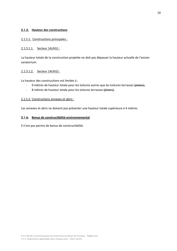#### <span id="page-9-0"></span>**2.1.5. Hauteur des constructions**

#### <span id="page-9-1"></span>2.1.5.1. Constructions principales :

#### <span id="page-9-2"></span>2.1.5.1.1. Secteur 1AUhS1 :

La hauteur totale de la construction projetée ne doit pas dépasser la hauteur actuelle de l'ancien sanatorium.

#### <span id="page-9-3"></span>2.1.5.1.2. Secteur 1AUhS2 :

La hauteur des constructions est limitée à :

- 9 mètres de hauteur totale pour les toitures autres que les toitures terrasses (plates),
- 8 mètres de hauteur totale pour les toitures terrasses (plates),

#### <span id="page-9-4"></span>2.1.5.2. Constructions annexes et abris :

Les annexes et abris ne doivent pas présenter une hauteur totale supérieure à 4 mètres.

#### <span id="page-9-5"></span>**2.1.6. Bonus de constructibilité environnemental**

Il n'est pas permis de bonus de constructibilité.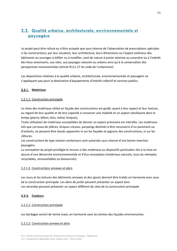# <span id="page-10-0"></span>**2.2. Qualité urbaine, architecturale, environnementale et paysagère**

Le projet peut être refusé ou n'être accepté que sous réserve de l'observation de prescriptions spéciales si les constructions, par leur situation, leur architecture, leurs dimensions ou l'aspect extérieur des bâtiments ou ouvrages à édifier ou à modifier, sont de nature à porter atteinte au caractère ou à l'intérêt des lieux avoisinants, aux sites, aux paysages naturels ou urbains ainsi qu'à la conservation des perspectives monumentales (article R111-27 du code de l'urbanisme).

Les dispositions relatives à la qualité urbaine, architecturale, environnementale et paysagère ne s'appliquent pas pour la destination d'équipements d'intérêt collectif et services publics.

#### **2.2.1. Matériaux**

#### <span id="page-10-1"></span>2.2.1.1. Construction principale

Le choix des matériaux utilisé en façade des constructions est guidé, quant à leur aspect et leur texture, au regard de leur qualité et de leur capacité à conserver une stabilité et un aspect satisfaisant dans le temps (pierre, bêton, bois, métal, briques).

Toute utilisation de matériaux susceptibles de donner un aspect provisoire est interdite. Les matériaux tels que carreaux de plâtres, briques creuses, parpaings destinés à être recouverts d'un parement ou d'enduits, ne peuvent être laissés apparents ni sur les façades et pignons des constructions, ni sur les clôtures.

Les constructions de type maison-conteneurs sont autorisés sous réserve d'une bonne insertion paysagère.

La conception du projet privilégie le recours à des matériaux ou dispositifs particuliers liés à la mise en œuvre d'une démarche environnementale et d'éco-conception (matériaux naturels, issus du réemploi, recyclables, renouvelables ou biosourcés).

#### <span id="page-10-2"></span>2.2.1.2. Constructions annexes et abris

Les murs et les toitures des bâtiments annexes et des ajouts devront être traités en harmonie avec ceux de la construction principale. Les abris de jardin peuvent présenter un aspect bois. Les vérandas peuvent présenter un aspect différent de celui de la construction principale

#### <span id="page-10-3"></span>**2.2.2. Couleurs**

#### <span id="page-10-4"></span>2.2.2.1. Construction principale

Les bardages seront de teinte mate, en harmonie avec les teintes des façades environnantes.

#### <span id="page-10-5"></span>2.2.2.2. Construction annexe et abris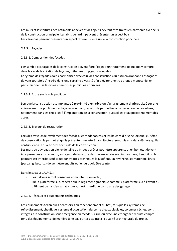Les murs et les toitures des bâtiments annexes et des ajouts devront être traités en harmonie avec ceux de la construction principale. Les abris de jardin peuvent présenter un aspect bois. Les vérandas peuvent présenter un aspect différent de celui de la construction principale.

#### <span id="page-11-0"></span>**2.2.3. Façades**

#### <span id="page-11-1"></span>2.2.3.1. Composition des façades

L'ensemble des façades de la construction doivent faire l'objet d'un traitement de qualité, y compris dans le cas de la création de façades, héberges ou pignons aveugles.

Le rythme des façades doit s'harmoniser avec celui des constructions du tissu environnant. Les façades doivent toutefois s'inscrire dans une certaine diversité afin d'éviter une trop grande monotonie, en particulier depuis les voies et emprises publiques et privées.

#### <span id="page-11-2"></span>2.2.3.2. Arbre sur la voie publique

Lorsque la construction est implantée à proximité d'un arbre ou d'un alignement d'arbres situé sur une voie ou emprise publique, ses façades sont conçues afin de permettre la conservation de ces arbres, notamment dans les choix liés à l'implantation de la construction, aux saillies et au positionnement des accès.

#### <span id="page-11-3"></span>2.2.3.3. Travaux de restauration

Lors des travaux de ravalement des façades, les modénatures et les balcons d'origine lorsque leur état de conservation le permet et qu'ils présentent un intérêt architectural sont mis en valeur dès lors qu'ils contribuent à la qualité architecturale de la construction.

Les murs ou ouvrages en pierre de taille ou briques prévus pour être apparents et en bon état doivent être préservés au maximum, au regard de la nature des travaux envisagés. Sur ces murs, l'enduit ou la peinture est interdit, sauf si des contraintes techniques le justifient. En revanche, les matériaux bruts (parpaing, béton...) doivent être enduits et l'enduit doit être teinté.

Dans le secteur 1AUhS1 :

- Les balcons seront conservés et maintenus ouverts ;
- Sur la plateforme sud, repérée sur le règlement graphique comme « plateforme sud à l'avant du bâtiment de l'ancien sanatorium », il est interdit de construire des garages.

#### <span id="page-11-4"></span>2.2.3.4. Réseaux et équipements techniques

Les équipements techniques nécessaires au fonctionnement du bâti, tels que les systèmes de refroidissement, chauffage, système d'occultation, descente d'eaux pluviales, colonnes sèches, sont intégrés à la construction sans émergence en façade sur rue ou avec une émergence réduite compte tenu des équipements, de manière à ne pas porter atteinte à la qualité architecturale du projet.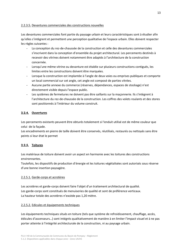#### <span id="page-12-0"></span>2.2.3.5. Devantures commerciales des constructions nouvelles

Les devantures commerciales font partie du paysage urbain et leurs caractéristiques sont à étudier afin qu'elles s'intègrent et permettent une perception qualitative de l'espace urbain. Elles doivent respecter les règles suivantes :

- La conception du rez-de-chaussée de la construction et celle des devantures commerciales s'inscrivent dans la conception d'ensemble du projet architectural. Les percements destinés à recevoir des vitrines doivent notamment être adaptés à l'architecture de la construction concernée.
- Lorsqu'une même vitrine ou devanture est établie sur plusieurs constructions contiguës, les limites entre les constructions doivent être marquées.
- Lorsque la construction est implantée à l'angle de deux voies ou emprises publiques et comporte un local commercial sur cet angle, cet angle est composé de parties vitrées.
- Aucune partie annexe du commerce (réserves, dépendances, espaces de stockage) n'est directement visible depuis l'espace public.
- Les systèmes de fermetures ne doivent pas être saillants sur la maçonnerie. Ils s'intègrent à l'architecture du rez-de-chaussée de la construction. Les coffres des volets roulants et des stores sont positionnés à l'intérieur du volume construit.

#### <span id="page-12-1"></span>**2.2.4. Ouvertures**

Les percements existants peuvent être obturés totalement si l'enduit utilisé est de même couleur que celui de la façade.

Les encadrements en pierre de taille doivent être conservés, réutilisés, restaurés ou nettoyés sans être peints si leur état le permet

#### <span id="page-12-2"></span>**2.2.5. Toitures**

Les matériaux de toiture doivent avoir un aspect en harmonie avec les toitures des constructions environnantes.

Toutefois, les dispositifs de production d'énergie et les toitures végétalisées sont autorisés sous réserve d'une bonne insertion paysagère.

#### <span id="page-12-3"></span>2.2.5.1. Garde-corps et acrotères

Les acrotères et garde-corps doivent faire l'objet d'un traitement architectural de qualité. Les garde-corps sont constitués de menuiseries de qualité et sont de préférence verticaux. La hauteur totale des acrotères n'excède pas 1,20 mètre.

#### <span id="page-12-4"></span>2.2.5.2. Edicules et équipements techniques

Les équipements techniques situés en toiture (tels que système de refroidissement, chauffage, accès, édicules d'ascenseurs…) sont intégrés qualitativement de manière à en limiter l'impact visuel et à ne pas porter atteinte à l'intégrité architecturale de la construction, ni au paysage urbain.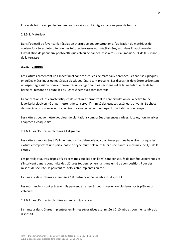En cas de toiture en pente, les panneaux solaires sont intégrés dans les pans de toiture.

#### <span id="page-13-0"></span>2.2.5.3. Matériaux

Dans l'objectif de favoriser la régulation thermique des constructions, l'utilisation de matériaux de couleur foncée est interdite pour les toitures terrasses non végétalisées, sauf dans l'hypothèse de l'installation de panneaux photovoltaïques et/ou de panneaux solaires sur au moins 50 % de la surface de la terrasse

#### <span id="page-13-1"></span>**2.2.6. Clôtures**

Les clôtures présentent un aspect fini et sont constituées de matériaux pérennes. Les canisses, plaques ondulées métalliques ou matériaux plastiques légers sont proscrits. Les dispositifs de clôture présentant un aspect agressif ou pouvant présenter un danger pour les personnes et la faune tels que fils de fer barbelés, tessons de bouteilles ou lignes électriques sont interdits.

La conception et les caractéristiques des clôtures permettent la libre circulation de la petite faune, favorise la biodiversité et permettent de conserver l'intimité des espaces extérieurs privatifs. Le choix des matériaux privilégie leur caractère durable conservant un aspect qualitatif dans le temps.

Les clôtures peuvent être doublées de plantations composées d'essences variées, locales, non invasives, adaptées à chaque site.

#### <span id="page-13-2"></span>2.2.6.1. Les clôtures implantées à l'alignement

Les clôtures implantées à l'alignement sont à claire-voie ou constituées par une haie vive. Lorsque les clôtures comportent une partie basse de type muret plein, celle-ci a une hauteur maximale de 1/3 de la clôture.

Les portails et autres dispositifs d'accès (tels que les portillons) sont constitués de matériaux pérennes et s'inscrivent dans la continuité des clôtures tout en recherchant une unité de composition. Pour des raisons de sécurité, ils peuvent toutefois être implantés en recul.

La hauteur des clôtures est limitée à 1,8 mètre pour l'ensemble du dispositif.

Les murs anciens sont préservés. Ils peuvent être percés pour créer un ou plusieurs accès piétons ou véhicules.

#### <span id="page-13-3"></span>2.2.6.2. Les clôtures implantées en limites séparatives

La hauteur des clôtures implantées en limites séparatives est limitée à 2,10 mètres pour l'ensemble du dispositif.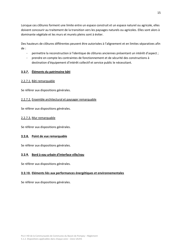Lorsque ces clôtures forment une limite entre un espace construit et un espace naturel ou agricole, elles doivent concourir au traitement de la transition vers les paysages naturels ou agricoles. Elles sont alors à dominante végétale et les murs et murets pleins sont à éviter.

Des hauteurs de clôtures différentes peuvent être autorisées à l'alignement et en limites séparatives afin de :

- permettre la reconstruction à l'identique de clôtures anciennes présentant un intérêt d'aspect ;
- prendre en compte les contraintes de fonctionnement et de sécurité des constructions à destination d'équipement d'intérêt collectif et service public le nécessitant.

#### <span id="page-14-0"></span>**2.2.7. Éléments du patrimoine bâti**

#### <span id="page-14-1"></span>2.2.7.1. Bâti remarquable

Se référer aux dispositions générales.

#### <span id="page-14-2"></span>2.2.7.2. Ensemble architectural et paysager remarquable

Se référer aux dispositions générales.

<span id="page-14-3"></span>2.2.7.3. Mur remarquable

Se référer aux dispositions générales.

#### <span id="page-14-4"></span>**2.2.8. Point de vue remarquable**

Se référer aux dispositions générales.

#### <span id="page-14-5"></span>**2.2.9. Bord à eau urbain d'interface ville/eau**

Se référer aux dispositions générales.

#### <span id="page-14-6"></span>**2.2.10. Eléments liés aux performances énergétiques et environnementales**

<span id="page-14-7"></span>Se référer aux dispositions générales.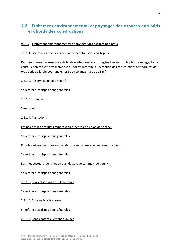# **2.3. Traitement environnemental et paysager des espaces non bâtis et abords des constructions**

#### <span id="page-15-0"></span>**2.3.1. Traitement environnemental et paysager des espaces non bâtis**

#### <span id="page-15-1"></span>2.3.1.1. Lisières des réservoirs de biodiversité forestiers protégées

Dans les lisières des réservoirs de biodiversité forestiers protégées figurées sur le plan de zonage, toute construction constitutive d'emprise au sol est interdite à l'exception des constructions temporaires de type abris de jardin pour une emprise au sol maximale de 15 m².

<span id="page-15-2"></span>2.3.1.2. Réservoirs de biodiversité

Se référer aux dispositions générales.

<span id="page-15-3"></span>2.3.1.3. Ripisylve

Sans objet.

<span id="page-15-4"></span>2.3.1.4. Plantations

Les haies et les bosquets remarquables identifiés au plan de zonage :

Se référer aux dispositions générales.

Pour les arbres identifiés au plan de zonage comme « arbre remarquable » :

Se référer aux dispositions générales.

Dans les secteurs identifiés au plan de zonage comme « vergers » :

Se référer aux dispositions générales.

<span id="page-15-5"></span>2.3.1.5. Parcs et jardins en milieu urbain

Se référer aux dispositions générales.

<span id="page-15-6"></span>2.3.1.6. Espaces boisés classés

Se référer aux dispositions générales.

<span id="page-15-7"></span>2.3.1.7. Zones potentiellement humides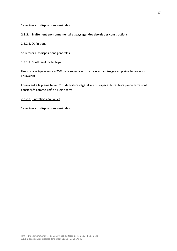Se référer aux dispositions générales.

#### <span id="page-16-0"></span>**2.3.2. Traitement environnemental et paysager des abords des constructions**

#### <span id="page-16-1"></span>2.3.2.1. Définitions

Se référer aux dispositions générales.

#### <span id="page-16-2"></span>2.3.2.2. Coefficient de biotope

Une surface équivalente à 25% de la superficie du terrain est aménagée en pleine terre ou son équivalent.

Equivalent à la pleine terre : 2m² de toiture végétalisée ou espaces libres hors pleine terre sont considérés comme 1m² de pleine terre.

#### <span id="page-16-3"></span>2.3.2.3. Plantations nouvelles

Se référer aux dispositions générales.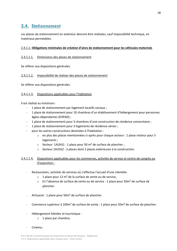# <span id="page-17-0"></span>**2.4. Stationnement**

Les places de stationnement en extérieur devront être réalisées, sauf impossibilité technique, en matériaux perméables.

#### <span id="page-17-1"></span>2.4.1.1. **Obligations minimales de création d'aires de stationnement pour les véhicules motorisés**

#### <span id="page-17-2"></span>2.4.1.1.1. Dimensions des places de stationnement

Se référer aux dispositions générales.

#### <span id="page-17-3"></span>2.4.1.1.2. Impossibilité de réaliser des places de stationnement

Se référer aux dispositions générales.

#### <span id="page-17-4"></span>2.4.1.1.3. Dispositions applicables pour l'habitation

Il est réalisé au minimum :

- 1 place de stationnement par logement locatifs sociaux ;
- 1 place de stationnement pour 10 chambres d'un établissement d'hébergement pour personnes âgées dépendantes (EHPAD) ;
- 1 place de stationnement pour 3 chambres d'une construction de résidence universitaire ;
- 1 place de stationnement pour 3 logements de résidence sénior ;
- pour les autres constructions destinées à l'habitation :
	- $\circ$  en plus des places mentionnées ci-après pour chaque secteur : 1 place visiteur pour 5 logements ;
	- $\circ$  Secteur 1AUhS1 : 1 place pour 50 m<sup>2</sup> de surface de plancher ;
	- o Secteur 1AUhS2 : 3 places dont 2 places extérieures à la construction.

#### <span id="page-17-5"></span>2.4.1.1.4. Dispositions applicables pour les commerces, activités de service et centre de congrès ou d'exposition :

- Restauration, activités de services où s'effectue l'accueil d'une clientèle:
	- $\circ$  1 place pour 12 m<sup>2</sup> de la surface de vente ou de service,
	- $\circ$  En l'absence de surface de vente ou de service : 1 place pour 50m<sup>2</sup> de surface de plancher.
- Artisanat : 1 place pour 50m² de surface de plancher.
- Commerce supérieur à 100m<sup>2</sup> de surface de vente : 1 place pour 20m<sup>2</sup> de surface de plancher.
- Hébergement hôtelier et touristique :
	- o 1 place par chambre,
- Cinéma :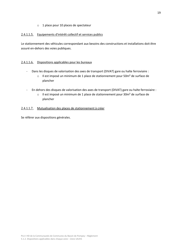o 1 place pour 10 places de spectateur

#### <span id="page-18-0"></span>2.4.1.1.5. Equipements d'intérêt collectif et services publics

Le stationnement des véhicules correspondant aux besoins des constructions et installations doit être assuré en-dehors des voies publiques.

#### <span id="page-18-1"></span>2.4.1.1.6. Dispositions applicables pour les bureaux

- Dans les disques de valorisation des axes de transport (DIVAT) gare ou halte ferroviaire :
	- o Il est imposé un minimum de 1 place de stationnement pour 50m² de surface de plancher
- En dehors des disques de valorisation des axes de transport (DIVAT) gare ou halte ferroviaire :
	- o Il est imposé un minimum de 1 place de stationnement pour 30m² de surface de plancher

#### <span id="page-18-2"></span>2.4.1.1.7. Mutualisation des places de stationnement à créer

Se référer aux dispositions générales.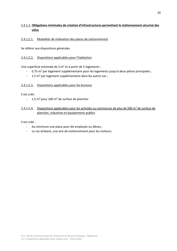#### <span id="page-19-0"></span>2.4.1.2. **Obligations minimales de création d'infrastructures permettant le stationnement sécurisé des vélos**

#### <span id="page-19-1"></span>2.4.1.2.1. Modalités de réalisation des places de stationnement

Se référer aux dispositions générales.

#### <span id="page-19-2"></span>2.4.1.2.2. Dispositions applicables pour l'habitation

Une superficie minimale de 3 m² et à partir de 2 logements :

- 0,75 m² par logement supplémentaire pour les logements jusqu'à deux pièces principales ;
- 1,5 m² par logement supplémentaire dans les autres cas ;

#### <span id="page-19-3"></span>2.4.1.2.3. Dispositions applicables pour les bureaux

Il est créé :

- 1,5 m² pour 100 m² de surface de plancher

#### <span id="page-19-4"></span>2.4.1.2.4. Dispositions applicables pour les activités ou commerces de plus de 500 m<sup>2</sup> de surface de plancher, industries et équipements publics

Il est créé :

- Au minimum une place pour dix employés ou élèves ;
- Le cas échéant, une aire de stationnement pour les visiteurs.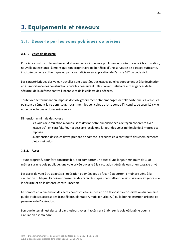# <span id="page-20-1"></span><span id="page-20-0"></span>**3.1. Desserte par les voies publiques ou privées**

#### <span id="page-20-2"></span>**3.1.1. Voies de desserte**

Pour être constructible, un terrain doit avoir accès à une voie publique ou privée ouverte à la circulation, nouvelle ou existante, à moins que son propriétaire ne bénéficie d'une servitude de passage suffisante, instituée par acte authentique ou par voie judiciaire en application de l'article 682 du code civil.

Les caractéristiques des voies nouvelles sont adaptées aux usages qu'elles supportent et à la destination et à l'importance des constructions qu'elles desservent. Elles doivent satisfaire aux exigences de la sécurité, de la défense contre l'incendie et de la collecte des déchets.

Toute voie se terminant en impasse doit obligatoirement être aménagée de telle sorte que les véhicules puissent aisément faire demi-tour, notamment les véhicules de lutte contre l'incendie, de sécurité civile et de collecte des ordures ménagères.

Dimension minimale des voies :

- Les voies de circulation à double sens devront être dimensionnées de façon cohérente avec l'usage qu'il en sera fait. Pour la desserte locale une largeur des voies minimale de 5 mètres est imposée.
- La dimension des voies devra prendre en compte la sécurité et la continuité des cheminements piétons et vélos.

#### <span id="page-20-3"></span>**3.1.2. Accès**

Toute propriété, pour être constructible, doit comporter un accès d'une largeur minimum de 3,50 mètres sur une voie publique, une voie privée ouverte à la circulation générale ou sur un passage privé.

Les accès doivent être adaptés à l'opération et aménagés de façon à apporter la moindre gêne à la circulation publique. Ils doivent présenter des caractéristiques permettant de satisfaire aux exigences de la sécurité et de la défense contre l'incendie.

Le nombre et la dimension des accès pourront être limités afin de favoriser la conservation du domaine public et de ses accessoires (candélabre, plantation, mobilier urbain…) ou la bonne insertion urbaine et paysagère de l'opération.

Lorsque le terrain est desservi par plusieurs voies, l'accès sera établi sur la voie où la gêne pour la circulation est moindre.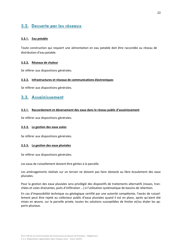# <span id="page-21-0"></span>**3.2. Desserte par les réseaux**

#### <span id="page-21-1"></span>**3.2.1. Eau potable**

Toute construction qui requiert une alimentation en eau potable doit être raccordée au réseau de distribution d'eau potable.

#### <span id="page-21-2"></span>**3.2.2. Réseaux de chaleur**

Se référer aux dispositions générales.

#### <span id="page-21-3"></span>**3.2.3. Infrastructures et réseaux de communications électroniques**

Se référer aux dispositions générales.

### <span id="page-21-4"></span>**3.3. Assainissement**

#### <span id="page-21-5"></span>**3.3.1. Raccordement et déversement des eaux dans le réseau public d'assainissement**

Se référer aux dispositions générales.

#### <span id="page-21-6"></span>**3.3.2. La gestion des eaux usées**

Se référer aux dispositions générales.

#### <span id="page-21-7"></span>**3.3.3. La gestion des eaux pluviales**

Se référer aux dispositions générales.

Les eaux de ruissellement doivent être gérées à la parcelle.

Les aménagements réalisés sur un terrain ne doivent pas faire obstacle au libre écoulement des eaux pluviales.

Pour la gestion des eaux pluviales sera privilégié des dispositifs de traitements alternatifs (noues, tranchées et voies drainantes, puits d'infiltration ...) à l'utilisation systématique de bassins de rétention.

En cas d'impossibilité technique ou géologique certifié par une autorité compétente, l'excès de ruissellement peut être rejeté au collecteur public d'eaux pluviales quand il est en place, après qu'aient été mises en œuvre, sur la parcelle privée, toutes les solutions susceptibles de limiter et/ou étaler les apports pluviaux.